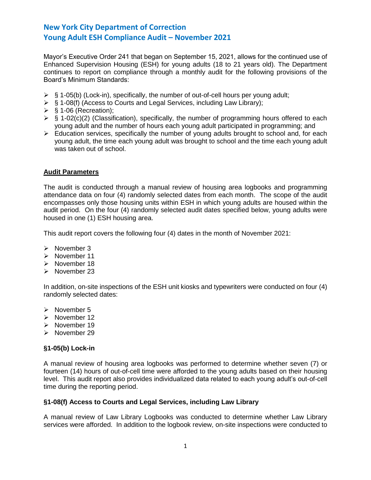Mayor's Executive Order 241 that began on September 15, 2021, allows for the continued use of Enhanced Supervision Housing (ESH) for young adults (18 to 21 years old). The Department continues to report on compliance through a monthly audit for the following provisions of the Board's Minimum Standards:

- $\triangleright$  § 1-05(b) (Lock-in), specifically, the number of out-of-cell hours per young adult;
- ➢ § 1-08(f) (Access to Courts and Legal Services, including Law Library);
- $\triangleright$  § 1-06 (Recreation);
- $\triangleright$  § 1-02(c)(2) (Classification), specifically, the number of programming hours offered to each young adult and the number of hours each young adult participated in programming; and
- ➢ Education services, specifically the number of young adults brought to school and, for each young adult, the time each young adult was brought to school and the time each young adult was taken out of school.

# **Audit Parameters**

The audit is conducted through a manual review of housing area logbooks and programming attendance data on four (4) randomly selected dates from each month. The scope of the audit encompasses only those housing units within ESH in which young adults are housed within the audit period. On the four (4) randomly selected audit dates specified below, young adults were housed in one (1) ESH housing area.

This audit report covers the following four (4) dates in the month of November 2021:

- ➢ November 3
- ➢ November 11
- ➢ November 18
- ➢ November 23

In addition, on-site inspections of the ESH unit kiosks and typewriters were conducted on four (4) randomly selected dates:

- ➢ November 5
- ➢ November 12
- ➢ November 19
- ➢ November 29

# **§1-05(b) Lock-in**

A manual review of housing area logbooks was performed to determine whether seven (7) or fourteen (14) hours of out-of-cell time were afforded to the young adults based on their housing level. This audit report also provides individualized data related to each young adult's out-of-cell time during the reporting period.

## **§1-08(f) Access to Courts and Legal Services, including Law Library**

A manual review of Law Library Logbooks was conducted to determine whether Law Library services were afforded. In addition to the logbook review, on-site inspections were conducted to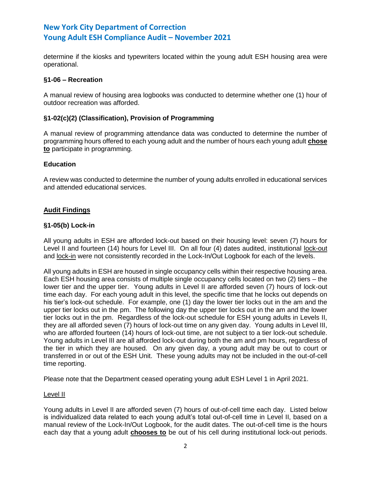determine if the kiosks and typewriters located within the young adult ESH housing area were operational.

## **§1-06 – Recreation**

A manual review of housing area logbooks was conducted to determine whether one (1) hour of outdoor recreation was afforded.

## **§1-02(c)(2) (Classification), Provision of Programming**

A manual review of programming attendance data was conducted to determine the number of programming hours offered to each young adult and the number of hours each young adult **chose to** participate in programming.

## **Education**

A review was conducted to determine the number of young adults enrolled in educational services and attended educational services.

## **Audit Findings**

## **§1-05(b) Lock-in**

All young adults in ESH are afforded lock-out based on their housing level: seven (7) hours for Level II and fourteen (14) hours for Level III. On all four (4) dates audited, institutional lock-out and lock-in were not consistently recorded in the Lock-In/Out Logbook for each of the levels.

All young adults in ESH are housed in single occupancy cells within their respective housing area. Each ESH housing area consists of multiple single occupancy cells located on two (2) tiers – the lower tier and the upper tier. Young adults in Level II are afforded seven (7) hours of lock-out time each day. For each young adult in this level, the specific time that he locks out depends on his tier's lock-out schedule. For example, one (1) day the lower tier locks out in the am and the upper tier locks out in the pm. The following day the upper tier locks out in the am and the lower tier locks out in the pm. Regardless of the lock-out schedule for ESH young adults in Levels II, they are all afforded seven (7) hours of lock-out time on any given day. Young adults in Level III, who are afforded fourteen (14) hours of lock-out time, are not subject to a tier lock-out schedule. Young adults in Level III are all afforded lock-out during both the am and pm hours, regardless of the tier in which they are housed. On any given day, a young adult may be out to court or transferred in or out of the ESH Unit. These young adults may not be included in the out-of-cell time reporting.

Please note that the Department ceased operating young adult ESH Level 1 in April 2021.

## Level II

Young adults in Level II are afforded seven (7) hours of out-of-cell time each day. Listed below is individualized data related to each young adult's total out-of-cell time in Level II, based on a manual review of the Lock-In/Out Logbook, for the audit dates. The out-of-cell time is the hours each day that a young adult **chooses to** be out of his cell during institutional lock-out periods.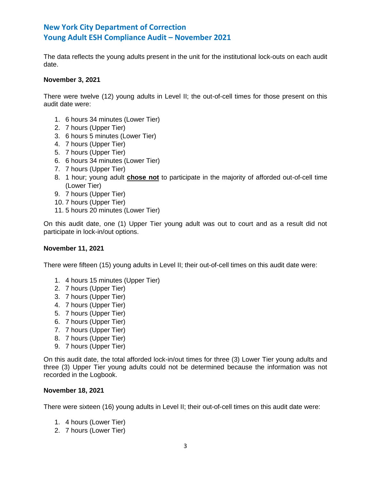The data reflects the young adults present in the unit for the institutional lock-outs on each audit date.

## **November 3, 2021**

There were twelve (12) young adults in Level II; the out-of-cell times for those present on this audit date were:

- 1. 6 hours 34 minutes (Lower Tier)
- 2. 7 hours (Upper Tier)
- 3. 6 hours 5 minutes (Lower Tier)
- 4. 7 hours (Upper Tier)
- 5. 7 hours (Upper Tier)
- 6. 6 hours 34 minutes (Lower Tier)
- 7. 7 hours (Upper Tier)
- 8. 1 hour; young adult **chose not** to participate in the majority of afforded out-of-cell time (Lower Tier)
- 9. 7 hours (Upper Tier)
- 10. 7 hours (Upper Tier)
- 11. 5 hours 20 minutes (Lower Tier)

On this audit date, one (1) Upper Tier young adult was out to court and as a result did not participate in lock-in/out options.

## **November 11, 2021**

There were fifteen (15) young adults in Level II; their out-of-cell times on this audit date were:

- 1. 4 hours 15 minutes (Upper Tier)
- 2. 7 hours (Upper Tier)
- 3. 7 hours (Upper Tier)
- 4. 7 hours (Upper Tier)
- 5. 7 hours (Upper Tier)
- 6. 7 hours (Upper Tier)
- 7. 7 hours (Upper Tier)
- 8. 7 hours (Upper Tier)
- 9. 7 hours (Upper Tier)

On this audit date, the total afforded lock-in/out times for three (3) Lower Tier young adults and three (3) Upper Tier young adults could not be determined because the information was not recorded in the Logbook.

## **November 18, 2021**

There were sixteen (16) young adults in Level II; their out-of-cell times on this audit date were:

- 1. 4 hours (Lower Tier)
- 2. 7 hours (Lower Tier)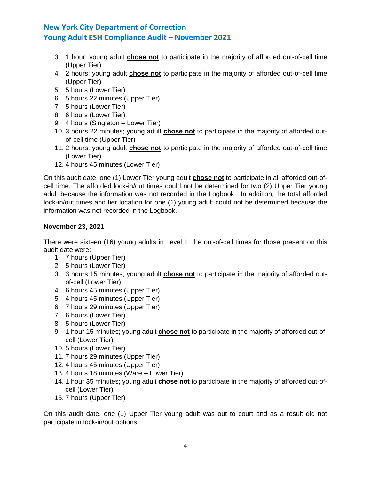- 3. 1 hour; young adult **chose not** to participate in the majority of afforded out-of-cell time (Upper Tier)
- 4. 2 hours; young adult **chose not** to participate in the majority of afforded out-of-cell time (Upper Tier)
- 5. 5 hours (Lower Tier)
- 6. 5 hours 22 minutes (Upper Tier)
- 7. 5 hours (Lower Tier)
- 8. 6 hours (Lower Tier)
- 9. 4 hours (Singleton Lower Tier)
- 10. 3 hours 22 minutes; young adult **chose not** to participate in the majority of afforded outof-cell time (Upper Tier)
- 11. 2 hours; young adult **chose not** to participate in the majority of afforded out-of-cell time (Lower Tier)
- 12. 4 hours 45 minutes (Lower Tier)

On this audit date, one (1) Lower Tier young adult **chose not** to participate in all afforded out-ofcell time. The afforded lock-in/out times could not be determined for two (2) Upper Tier young adult because the information was not recorded in the Logbook. In addition, the total afforded lock-in/out times and tier location for one (1) young adult could not be determined because the information was not recorded in the Logbook.

# **November 23, 2021**

There were sixteen (16) young adults in Level II; the out-of-cell times for those present on this audit date were:

- 1. 7 hours (Upper Tier)
- 2. 5 hours (Lower Tier)
- 3. 3 hours 15 minutes; young adult **chose not** to participate in the majority of afforded outof-cell (Lower Tier)
- 4. 6 hours 45 minutes (Upper Tier)
- 5. 4 hours 45 minutes (Upper Tier)
- 6. 7 hours 29 minutes (Upper Tier)
- 7. 6 hours (Lower Tier)
- 8. 5 hours (Lower Tier)
- 9. 1 hour 15 minutes; young adult **chose not** to participate in the majority of afforded out-ofcell (Lower Tier)
- 10. 5 hours (Lower Tier)
- 11. 7 hours 29 minutes (Upper Tier)
- 12. 4 hours 45 minutes (Upper Tier)
- 13. 4 hours 18 minutes (Ware Lower Tier)
- 14. 1 hour 35 minutes; young adult **chose not** to participate in the majority of afforded out-ofcell (Lower Tier)
- 15. 7 hours (Upper Tier)

On this audit date, one (1) Upper Tier young adult was out to court and as a result did not participate in lock-in/out options.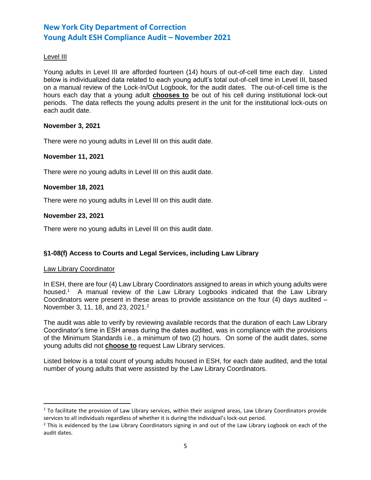# Level III

Young adults in Level III are afforded fourteen (14) hours of out-of-cell time each day. Listed below is individualized data related to each young adult's total out-of-cell time in Level III, based on a manual review of the Lock-In/Out Logbook, for the audit dates. The out-of-cell time is the hours each day that a young adult **chooses to** be out of his cell during institutional lock-out periods. The data reflects the young adults present in the unit for the institutional lock-outs on each audit date.

## **November 3, 2021**

There were no young adults in Level III on this audit date.

## **November 11, 2021**

There were no young adults in Level III on this audit date.

## **November 18, 2021**

There were no young adults in Level III on this audit date.

## **November 23, 2021**

There were no young adults in Level III on this audit date.

# **§1-08(f) Access to Courts and Legal Services, including Law Library**

## Law Library Coordinator

l

In ESH, there are four (4) Law Library Coordinators assigned to areas in which young adults were housed.<sup>1</sup> A manual review of the Law Library Logbooks indicated that the Law Library Coordinators were present in these areas to provide assistance on the four  $(4)$  days audited  $-$ November 3, 11, 18, and 23, 2021.<sup>2</sup>

The audit was able to verify by reviewing available records that the duration of each Law Library Coordinator's time in ESH areas during the dates audited, was in compliance with the provisions of the Minimum Standards i.e., a minimum of two (2) hours. On some of the audit dates, some young adults did not **choose to** request Law Library services.

Listed below is a total count of young adults housed in ESH, for each date audited, and the total number of young adults that were assisted by the Law Library Coordinators.

 $1$  To facilitate the provision of Law Library services, within their assigned areas, Law Library Coordinators provide services to all individuals regardless of whether it is during the individual's lock-out period.

 $<sup>2</sup>$  This is evidenced by the Law Library Coordinators signing in and out of the Law Library Logbook on each of the</sup> audit dates.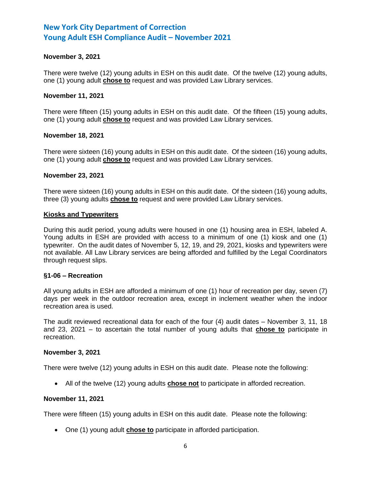## **November 3, 2021**

There were twelve (12) young adults in ESH on this audit date. Of the twelve (12) young adults, one (1) young adult **chose to** request and was provided Law Library services.

## **November 11, 2021**

There were fifteen (15) young adults in ESH on this audit date. Of the fifteen (15) young adults, one (1) young adult **chose to** request and was provided Law Library services.

## **November 18, 2021**

There were sixteen (16) young adults in ESH on this audit date. Of the sixteen (16) young adults, one (1) young adult **chose to** request and was provided Law Library services.

### **November 23, 2021**

There were sixteen (16) young adults in ESH on this audit date. Of the sixteen (16) young adults, three (3) young adults **chose to** request and were provided Law Library services.

### **Kiosks and Typewriters**

During this audit period, young adults were housed in one (1) housing area in ESH, labeled A. Young adults in ESH are provided with access to a minimum of one (1) kiosk and one (1) typewriter. On the audit dates of November 5, 12, 19, and 29, 2021, kiosks and typewriters were not available. All Law Library services are being afforded and fulfilled by the Legal Coordinators through request slips.

#### **§1-06 – Recreation**

All young adults in ESH are afforded a minimum of one (1) hour of recreation per day, seven (7) days per week in the outdoor recreation area, except in inclement weather when the indoor recreation area is used.

The audit reviewed recreational data for each of the four (4) audit dates – November 3, 11, 18 and 23, 2021 – to ascertain the total number of young adults that **chose to** participate in recreation.

#### **November 3, 2021**

There were twelve (12) young adults in ESH on this audit date. Please note the following:

• All of the twelve (12) young adults **chose not** to participate in afforded recreation.

## **November 11, 2021**

There were fifteen (15) young adults in ESH on this audit date. Please note the following:

• One (1) young adult **chose to** participate in afforded participation.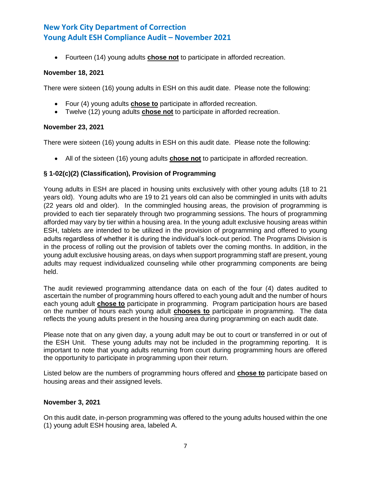• Fourteen (14) young adults **chose not** to participate in afforded recreation.

## **November 18, 2021**

There were sixteen (16) young adults in ESH on this audit date. Please note the following:

- Four (4) young adults **chose to** participate in afforded recreation.
- Twelve (12) young adults **chose not** to participate in afforded recreation.

# **November 23, 2021**

There were sixteen (16) young adults in ESH on this audit date. Please note the following:

• All of the sixteen (16) young adults **chose not** to participate in afforded recreation.

# **§ 1-02(c)(2) (Classification), Provision of Programming**

Young adults in ESH are placed in housing units exclusively with other young adults (18 to 21 years old). Young adults who are 19 to 21 years old can also be commingled in units with adults (22 years old and older). In the commingled housing areas, the provision of programming is provided to each tier separately through two programming sessions. The hours of programming afforded may vary by tier within a housing area. In the young adult exclusive housing areas within ESH, tablets are intended to be utilized in the provision of programming and offered to young adults regardless of whether it is during the individual's lock-out period. The Programs Division is in the process of rolling out the provision of tablets over the coming months. In addition, in the young adult exclusive housing areas, on days when support programming staff are present, young adults may request individualized counseling while other programming components are being held.

The audit reviewed programming attendance data on each of the four (4) dates audited to ascertain the number of programming hours offered to each young adult and the number of hours each young adult **chose to** participate in programming. Program participation hours are based on the number of hours each young adult **chooses to** participate in programming. The data reflects the young adults present in the housing area during programming on each audit date.

Please note that on any given day, a young adult may be out to court or transferred in or out of the ESH Unit. These young adults may not be included in the programming reporting. It is important to note that young adults returning from court during programming hours are offered the opportunity to participate in programming upon their return.

Listed below are the numbers of programming hours offered and **chose to** participate based on housing areas and their assigned levels.

# **November 3, 2021**

On this audit date, in-person programming was offered to the young adults housed within the one (1) young adult ESH housing area, labeled A.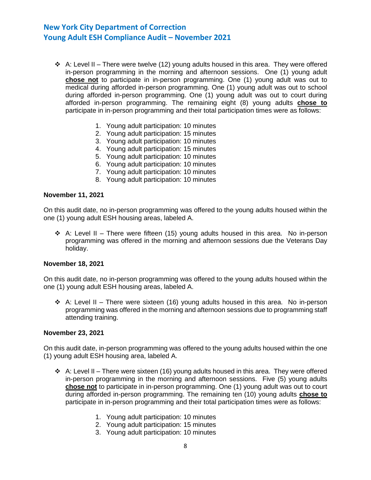- $\div$  A: Level II There were twelve (12) young adults housed in this area. They were offered in-person programming in the morning and afternoon sessions. One (1) young adult **chose not** to participate in in-person programming. One (1) young adult was out to medical during afforded in-person programming. One (1) young adult was out to school during afforded in-person programming. One (1) young adult was out to court during afforded in-person programming. The remaining eight (8) young adults **chose to** participate in in-person programming and their total participation times were as follows:
	- 1. Young adult participation: 10 minutes
	- 2. Young adult participation: 15 minutes
	- 3. Young adult participation: 10 minutes
	- 4. Young adult participation: 15 minutes
	- 5. Young adult participation: 10 minutes
	- 6. Young adult participation: 10 minutes
	- 7. Young adult participation: 10 minutes
	- 8. Young adult participation: 10 minutes

#### **November 11, 2021**

On this audit date, no in-person programming was offered to the young adults housed within the one (1) young adult ESH housing areas, labeled A.

 $\div$  A: Level II – There were fifteen (15) young adults housed in this area. No in-person programming was offered in the morning and afternoon sessions due the Veterans Day holiday.

## **November 18, 2021**

On this audit date, no in-person programming was offered to the young adults housed within the one (1) young adult ESH housing areas, labeled A.

 $\div$  A: Level II – There were sixteen (16) young adults housed in this area. No in-person programming was offered in the morning and afternoon sessions due to programming staff attending training.

#### **November 23, 2021**

On this audit date, in-person programming was offered to the young adults housed within the one (1) young adult ESH housing area, labeled A.

- $\div$  A: Level II There were sixteen (16) young adults housed in this area. They were offered in-person programming in the morning and afternoon sessions. Five (5) young adults **chose not** to participate in in-person programming. One (1) young adult was out to court during afforded in-person programming. The remaining ten (10) young adults **chose to** participate in in-person programming and their total participation times were as follows:
	- 1. Young adult participation: 10 minutes
	- 2. Young adult participation: 15 minutes
	- 3. Young adult participation: 10 minutes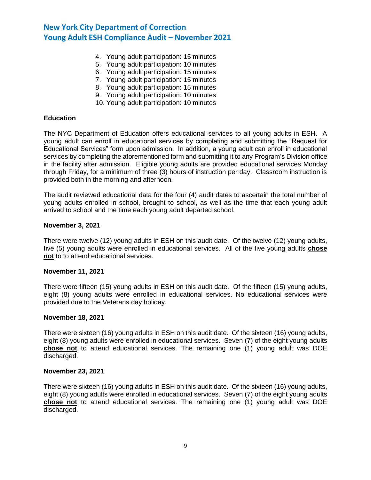- 4. Young adult participation: 15 minutes
- 5. Young adult participation: 10 minutes
- 6. Young adult participation: 15 minutes
- 7. Young adult participation: 15 minutes
- 8. Young adult participation: 15 minutes
- 9. Young adult participation: 10 minutes
- 10. Young adult participation: 10 minutes

### **Education**

The NYC Department of Education offers educational services to all young adults in ESH. A young adult can enroll in educational services by completing and submitting the "Request for Educational Services" form upon admission. In addition, a young adult can enroll in educational services by completing the aforementioned form and submitting it to any Program's Division office in the facility after admission. Eligible young adults are provided educational services Monday through Friday, for a minimum of three (3) hours of instruction per day. Classroom instruction is provided both in the morning and afternoon.

The audit reviewed educational data for the four (4) audit dates to ascertain the total number of young adults enrolled in school, brought to school, as well as the time that each young adult arrived to school and the time each young adult departed school.

### **November 3, 2021**

There were twelve (12) young adults in ESH on this audit date. Of the twelve (12) young adults, five (5) young adults were enrolled in educational services. All of the five young adults **chose not** to to attend educational services.

#### **November 11, 2021**

There were fifteen (15) young adults in ESH on this audit date. Of the fifteen (15) young adults, eight (8) young adults were enrolled in educational services. No educational services were provided due to the Veterans day holiday.

#### **November 18, 2021**

There were sixteen (16) young adults in ESH on this audit date. Of the sixteen (16) young adults, eight (8) young adults were enrolled in educational services. Seven (7) of the eight young adults **chose not** to attend educational services. The remaining one (1) young adult was DOE discharged.

### **November 23, 2021**

There were sixteen (16) young adults in ESH on this audit date. Of the sixteen (16) young adults, eight (8) young adults were enrolled in educational services. Seven (7) of the eight young adults **chose not** to attend educational services. The remaining one (1) young adult was DOE discharged.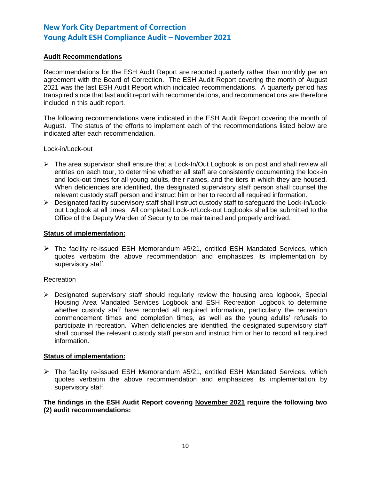# **Audit Recommendations**

Recommendations for the ESH Audit Report are reported quarterly rather than monthly per an agreement with the Board of Correction. The ESH Audit Report covering the month of August 2021 was the last ESH Audit Report which indicated recommendations. A quarterly period has transpired since that last audit report with recommendations, and recommendations are therefore included in this audit report.

The following recommendations were indicated in the ESH Audit Report covering the month of August. The status of the efforts to implement each of the recommendations listed below are indicated after each recommendation.

Lock-in/Lock-out

- ➢ The area supervisor shall ensure that a Lock-In/Out Logbook is on post and shall review all entries on each tour, to determine whether all staff are consistently documenting the lock-in and lock-out times for all young adults, their names, and the tiers in which they are housed. When deficiencies are identified, the designated supervisory staff person shall counsel the relevant custody staff person and instruct him or her to record all required information.
- ➢ Designated facility supervisory staff shall instruct custody staff to safeguard the Lock-in/Lockout Logbook at all times. All completed Lock-in/Lock-out Logbooks shall be submitted to the Office of the Deputy Warden of Security to be maintained and properly archived.

## **Status of implementation:**

 $\triangleright$  The facility re-issued ESH Memorandum #5/21, entitled ESH Mandated Services, which quotes verbatim the above recommendation and emphasizes its implementation by supervisory staff.

## **Recreation**

 $\triangleright$  Designated supervisory staff should regularly review the housing area logbook, Special Housing Area Mandated Services Logbook and ESH Recreation Logbook to determine whether custody staff have recorded all required information, particularly the recreation commencement times and completion times, as well as the young adults' refusals to participate in recreation. When deficiencies are identified, the designated supervisory staff shall counsel the relevant custody staff person and instruct him or her to record all required information.

## **Status of implementation:**

 $\triangleright$  The facility re-issued ESH Memorandum #5/21, entitled ESH Mandated Services, which quotes verbatim the above recommendation and emphasizes its implementation by supervisory staff.

## **The findings in the ESH Audit Report covering November 2021 require the following two (2) audit recommendations:**